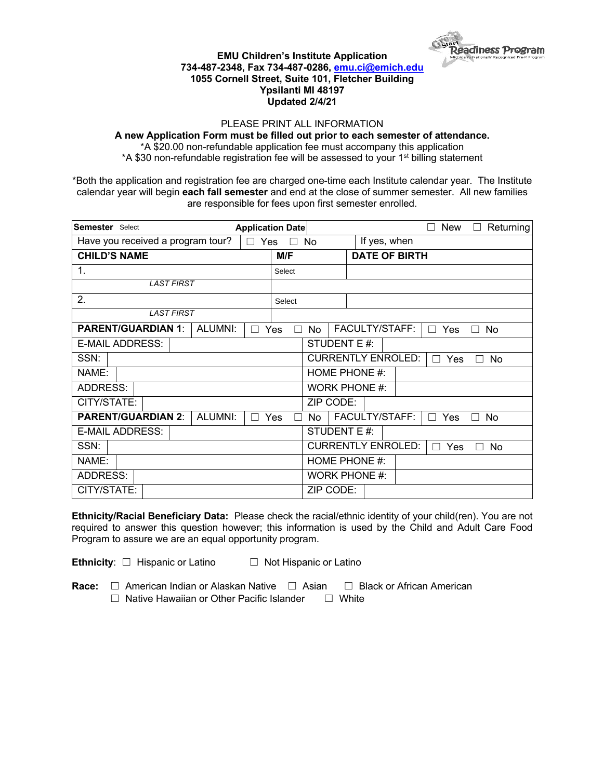

## **EMU Children's Institute Application 734-487-2348, Fax 734-487-0286, emu.ci@emich.edu 1055 Cornell Street, Suite 101, Fletcher Building Ypsilanti MI 48197 Updated 2/4/21**

## PLEASE PRINT ALL INFORMATION

**A new Application Form must be filled out prior to each semester of attendance.**

\*A \$20.00 non-refundable application fee must accompany this application \*A \$30 non-refundable registration fee will be assessed to your 1<sup>st</sup> billing statement

\*Both the application and registration fee are charged one-time each Institute calendar year. The Institute calendar year will begin **each fall semester** and end at the close of summer semester. All new families are responsible for fees upon first semester enrolled.

| <b>Semester</b> Select            | <b>Application Date</b> |        |                                                                 |                      | New                   | Returning |
|-----------------------------------|-------------------------|--------|-----------------------------------------------------------------|----------------------|-----------------------|-----------|
| Have you received a program tour? | $\Box$ Yes              | ×      | No                                                              | If yes, when         |                       |           |
| <b>CHILD'S NAME</b>               |                         | M/F    |                                                                 | <b>DATE OF BIRTH</b> |                       |           |
| 1.                                |                         | Select |                                                                 |                      |                       |           |
| <b>LAST FIRST</b>                 |                         |        |                                                                 |                      |                       |           |
| 2.                                |                         | Select |                                                                 |                      |                       |           |
| <b>LAST FIRST</b>                 |                         |        |                                                                 |                      |                       |           |
| <b>PARENT/GUARDIAN 1:</b>         | ALUMNI:                 | Yes    | No                                                              | FACULTY/STAFF:       | Yes<br>$\blacksquare$ | No        |
| <b>E-MAIL ADDRESS:</b>            |                         |        | STUDENT E #:                                                    |                      |                       |           |
| SSN:                              |                         |        | <b>CURRENTLY ENROLED:</b><br>Yes<br>No<br>$\Box$                |                      |                       |           |
| NAME:                             |                         |        | HOME PHONE #:                                                   |                      |                       |           |
| <b>ADDRESS:</b>                   |                         |        | <b>WORK PHONE #:</b>                                            |                      |                       |           |
| CITY/STATE:                       |                         |        | ZIP CODE:                                                       |                      |                       |           |
| <b>PARENT/GUARDIAN 2:</b>         | ALUMNI:                 | Yes    | <b>No</b>                                                       | FACULTY/STAFF:       | Yes<br>П              | No<br>П   |
| <b>E-MAIL ADDRESS:</b>            |                         |        | STUDENT E #:                                                    |                      |                       |           |
| SSN:                              |                         |        | <b>CURRENTLY ENROLED:</b><br>Yes<br><b>No</b><br>$\blacksquare$ |                      |                       |           |
| NAME:                             |                         |        | HOME PHONE #:                                                   |                      |                       |           |
| <b>ADDRESS:</b>                   |                         |        | <b>WORK PHONE #:</b>                                            |                      |                       |           |
| CITY/STATE:                       |                         |        | ZIP CODE:                                                       |                      |                       |           |

**Ethnicity/Racial Beneficiary Data:** Please check the racial/ethnic identity of your child(ren). You are not required to answer this question however; this information is used by the Child and Adult Care Food Program to assure we are an equal opportunity program.

**Ethnicity**: □ Hispanic or Latino □ Not Hispanic or Latino

**Race:** □ American Indian or Alaskan Native □ Asian □ Black or African American ☐ Native Hawaiian or Other Pacific Islander ☐ White